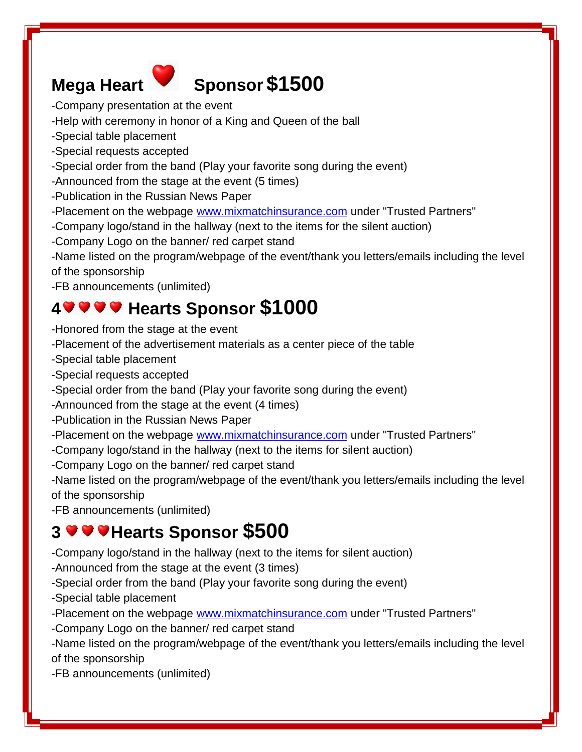

# **Mega Heart Sponsor \$1500**

- -Company presentation at the event
- -Help with ceremony in honor of a King and Queen of the ball
- -Special table placement
- -Special requests accepted
- -Special order from the band (Play your favorite song during the event)
- -Announced from the stage at the event (5 times)
- -Publication in the Russian News Paper
- -Placement on the webpage [www.mixmatchinsurance.com](http://www.mixmatchinsurance.com/) under "Trusted Partners"
- -Company logo/stand in the hallway (next to the items for the silent auction)
- -Company Logo on the banner/ red carpet stand

-Name listed on the program/webpage of the event/thank you letters/emails including the level of the sponsorship

-FB announcements (unlimited)

# **4 Hearts Sponsor \$1000**

- -Honored from the stage at the event
- -Placement of the advertisement materials as a center piece of the table
- -Special table placement
- -Special requests accepted
- -Special order from the band (Play your favorite song during the event)
- -Announced from the stage at the event (4 times)
- -Publication in the Russian News Paper
- -Placement on the webpage [www.mixmatchinsurance.com](http://www.mixmatchinsurance.com/) under "Trusted Partners"
- -Company logo/stand in the hallway (next to the items for silent auction)
- -Company Logo on the banner/ red carpet stand
- -Name listed on the program/webpage of the event/thank you letters/emails including the level of the sponsorship
- -FB announcements (unlimited)

# **3**  $\bullet\bullet\bullet\bullet$  Hearts Sponsor \$500

- -Company logo/stand in the hallway (next to the items for silent auction)
- -Announced from the stage at the event (3 times)
- -Special order from the band (Play your favorite song during the event)
- -Special table placement
- -Placement on the webpage [www.mixmatchinsurance.com](http://www.mixmatchinsurance.com/) under "Trusted Partners"
- -Company Logo on the banner/ red carpet stand

-Name listed on the program/webpage of the event/thank you letters/emails including the level of the sponsorship

-FB announcements (unlimited)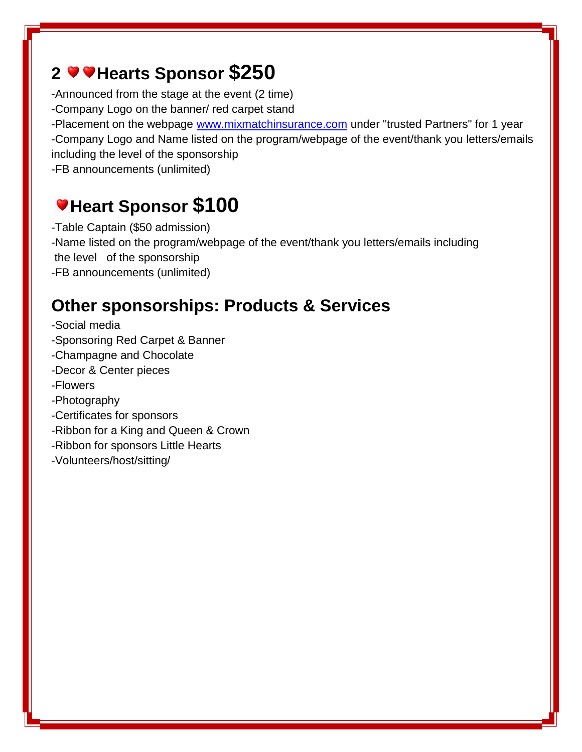## **2** ● Hearts Sponsor \$250

-Announced from the stage at the event (2 time)

-Company Logo on the banner/ red carpet stand

-Placement on the webpage [www.mixmatchinsurance.com](http://www.mixmatchinsurance.com/) under "trusted Partners" for 1 year -Company Logo and Name listed on the program/webpage of the event/thank you letters/emails including the level of the sponsorship

-FB announcements (unlimited)

# **Heart Sponsor \$100**

-Table Captain (\$50 admission) -Name listed on the program/webpage of the event/thank you letters/emails including the level of the sponsorship -FB announcements (unlimited)

## **Other sponsorships: Products & Services**

- -Social media
- -Sponsoring Red Carpet & Banner
- -Champagne and Chocolate
- -Decor & Center pieces
- -Flowers
- -Photography
- -Certificates for sponsors
- -Ribbon for a King and Queen & Crown
- -Ribbon for sponsors Little Hearts
- -Volunteers/host/sitting/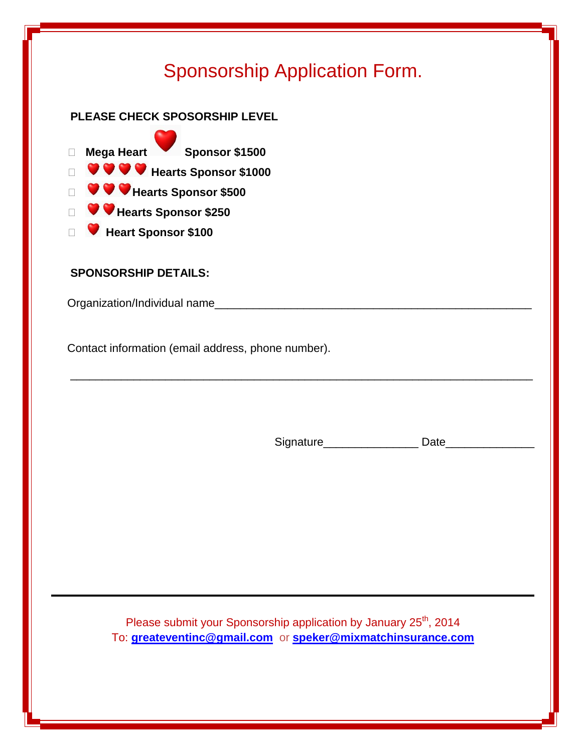## Sponsorship Application Form.

### **PLEASE CHECK SPOSORSHIP LEVEL**

 **Mega Heart Sponsor \$1500 Hearts Sponsor \$1000 Hearts Sponsor \$500 Hearts Sponsor \$250 Heart Sponsor \$100** 

#### **SPONSORSHIP DETAILS:**

Organization/Individual name\_\_\_\_\_\_\_\_\_\_\_\_\_\_\_\_\_\_\_\_\_\_\_\_\_\_\_\_\_\_\_\_\_\_\_\_\_\_\_\_\_\_\_\_\_\_\_\_\_\_

Contact information (email address, phone number).

Signature\_\_\_\_\_\_\_\_\_\_\_\_\_\_\_\_\_\_\_\_\_\_\_ Date\_\_\_\_

Please submit your Sponsorship application by January 25<sup>th</sup>, 2014 To: **[greateventinc@gmail.com](mailto:greateventinc@gmail.com)** or **[speker@mixmatchinsurance.com](mailto:speker@mixmatchinsurance.com)**

 $\frac{1}{\sqrt{2}}$  ,  $\frac{1}{\sqrt{2}}$  ,  $\frac{1}{\sqrt{2}}$  ,  $\frac{1}{\sqrt{2}}$  ,  $\frac{1}{\sqrt{2}}$  ,  $\frac{1}{\sqrt{2}}$  ,  $\frac{1}{\sqrt{2}}$  ,  $\frac{1}{\sqrt{2}}$  ,  $\frac{1}{\sqrt{2}}$  ,  $\frac{1}{\sqrt{2}}$  ,  $\frac{1}{\sqrt{2}}$  ,  $\frac{1}{\sqrt{2}}$  ,  $\frac{1}{\sqrt{2}}$  ,  $\frac{1}{\sqrt{2}}$  ,  $\frac{1}{\sqrt{2}}$